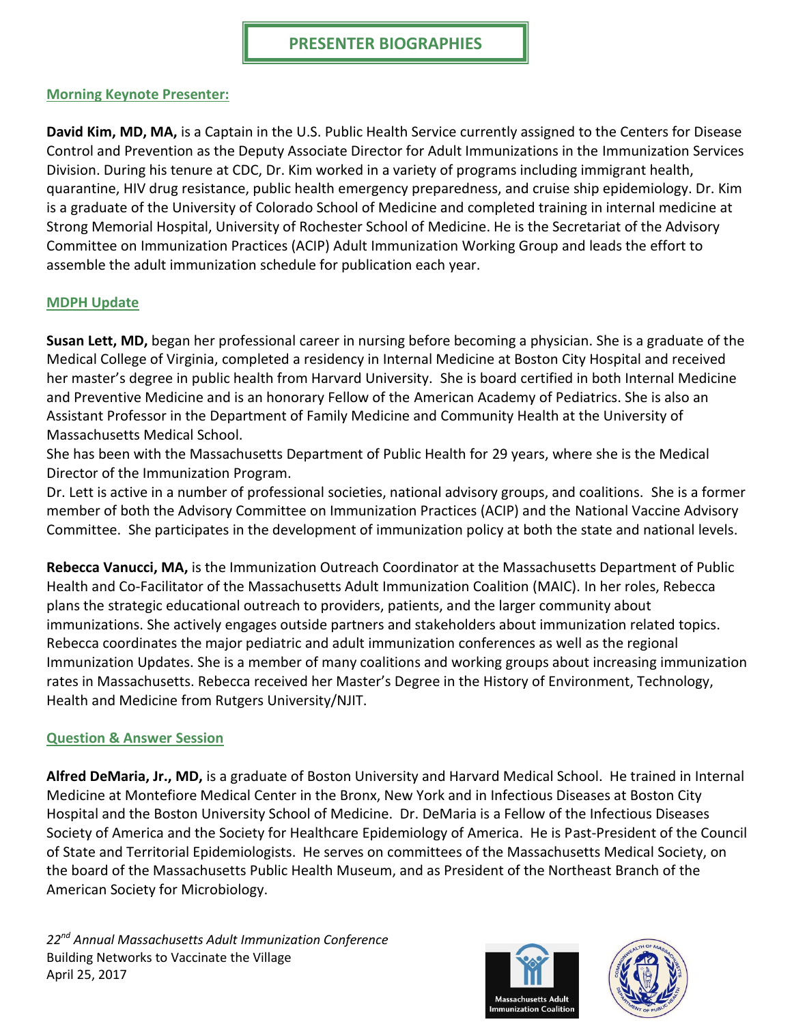#### **Morning Keynote Presenter:**

**David Kim, MD, MA,** is a Captain in the U.S. Public Health Service currently assigned to the Centers for Disease Control and Prevention as the Deputy Associate Director for Adult Immunizations in the Immunization Services Division. During his tenure at CDC, Dr. Kim worked in a variety of programs including immigrant health, quarantine, HIV drug resistance, public health emergency preparedness, and cruise ship epidemiology. Dr. Kim is a graduate of the University of Colorado School of Medicine and completed training in internal medicine at Strong Memorial Hospital, University of Rochester School of Medicine. He is the Secretariat of the Advisory Committee on Immunization Practices (ACIP) Adult Immunization Working Group and leads the effort to assemble the adult immunization schedule for publication each year.

#### **MDPH Update**

**Susan Lett, MD,** began her professional career in nursing before becoming a physician. She is a graduate of the Medical College of Virginia, completed a residency in Internal Medicine at Boston City Hospital and received her master's degree in public health from Harvard University. She is board certified in both Internal Medicine and Preventive Medicine and is an honorary Fellow of the American Academy of Pediatrics. She is also an Assistant Professor in the Department of Family Medicine and Community Health at the University of Massachusetts Medical School.

She has been with the Massachusetts Department of Public Health for 29 years, where she is the Medical Director of the Immunization Program.

Dr. Lett is active in a number of professional societies, national advisory groups, and coalitions. She is a former member of both the Advisory Committee on Immunization Practices (ACIP) and the National Vaccine Advisory Committee. She participates in the development of immunization policy at both the state and national levels.

**Rebecca Vanucci, MA,** is the Immunization Outreach Coordinator at the Massachusetts Department of Public Health and Co-Facilitator of the Massachusetts Adult Immunization Coalition (MAIC). In her roles, Rebecca plans the strategic educational outreach to providers, patients, and the larger community about immunizations. She actively engages outside partners and stakeholders about immunization related topics. Rebecca coordinates the major pediatric and adult immunization conferences as well as the regional Immunization Updates. She is a member of many coalitions and working groups about increasing immunization rates in Massachusetts. Rebecca received her Master's Degree in the History of Environment, Technology, Health and Medicine from Rutgers University/NJIT.

#### **Question & Answer Session**

**Alfred DeMaria, Jr., MD,** is a graduate of Boston University and Harvard Medical School. He trained in Internal Medicine at Montefiore Medical Center in the Bronx, New York and in Infectious Diseases at Boston City Hospital and the Boston University School of Medicine. Dr. DeMaria is a Fellow of the Infectious Diseases Society of America and the Society for Healthcare Epidemiology of America. He is Past-President of the Council of State and Territorial Epidemiologists. He serves on committees of the Massachusetts Medical Society, on the board of the Massachusetts Public Health Museum, and as President of the Northeast Branch of the American Society for Microbiology.



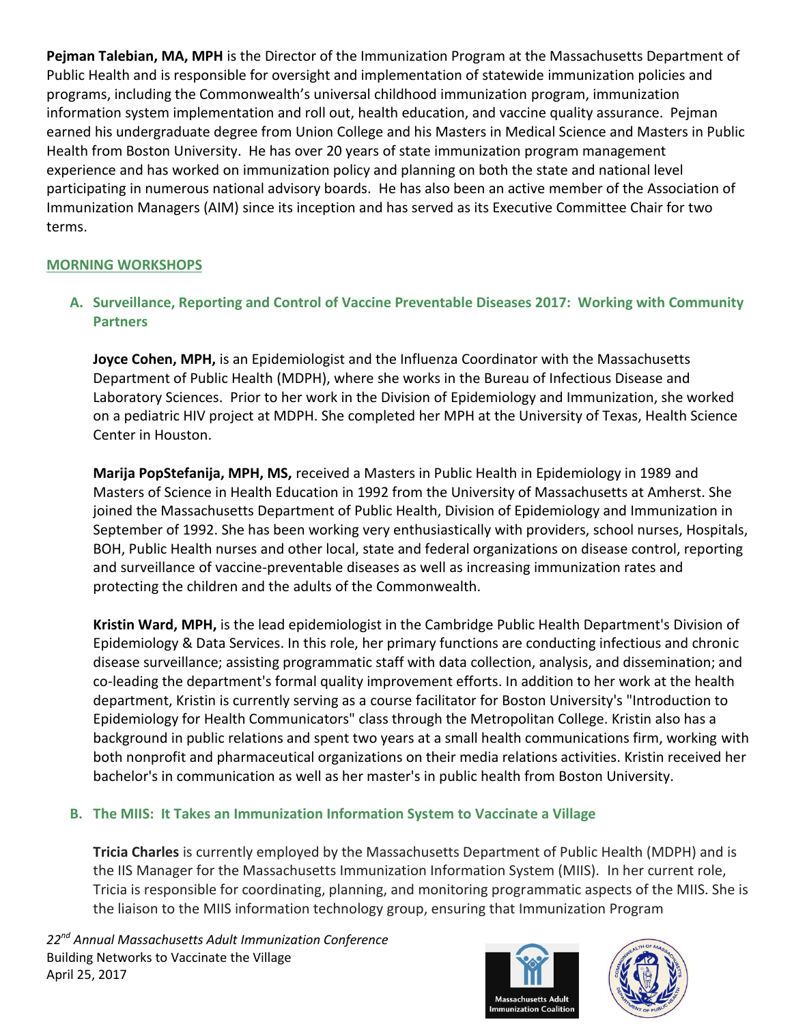**Pejman Talebian, MA, MPH** is the Director of the Immunization Program at the Massachusetts Department of Public Health and is responsible for oversight and implementation of statewide immunization policies and programs, including the Commonwealth's universal childhood immunization program, immunization information system implementation and roll out, health education, and vaccine quality assurance. Pejman earned his undergraduate degree from Union College and his Masters in Medical Science and Masters in Public Health from Boston University. He has over 20 years of state immunization program management experience and has worked on immunization policy and planning on both the state and national level participating in numerous national advisory boards. He has also been an active member of the Association of Immunization Managers (AIM) since its inception and has served as its Executive Committee Chair for two terms.

# **MORNING WORKSHOPS**

# **A. Surveillance, Reporting and Control of Vaccine Preventable Diseases 2017: Working with Community Partners**

**Joyce Cohen, MPH,** is an Epidemiologist and the Influenza Coordinator with the Massachusetts Department of Public Health (MDPH), where she works in the Bureau of Infectious Disease and Laboratory Sciences. Prior to her work in the Division of Epidemiology and Immunization, she worked on a pediatric HIV project at MDPH. She completed her MPH at the University of Texas, Health Science Center in Houston.

**Marija PopStefanija, MPH, MS,** received a Masters in Public Health in Epidemiology in 1989 and Masters of Science in Health Education in 1992 from the University of Massachusetts at Amherst. She joined the Massachusetts Department of Public Health, Division of Epidemiology and Immunization in September of 1992. She has been working very enthusiastically with providers, school nurses, Hospitals, BOH, Public Health nurses and other local, state and federal organizations on disease control, reporting and surveillance of vaccine-preventable diseases as well as increasing immunization rates and protecting the children and the adults of the Commonwealth.

**Kristin Ward, MPH,** is the lead epidemiologist in the Cambridge Public Health Department's Division of Epidemiology & Data Services. In this role, her primary functions are conducting infectious and chronic disease surveillance; assisting programmatic staff with data collection, analysis, and dissemination; and co-leading the department's formal quality improvement efforts. In addition to her work at the health department, Kristin is currently serving as a course facilitator for Boston University's "Introduction to Epidemiology for Health Communicators" class through the Metropolitan College. Kristin also has a background in public relations and spent two years at a small health communications firm, working with both nonprofit and pharmaceutical organizations on their media relations activities. Kristin received her bachelor's in communication as well as her master's in public health from Boston University.

# **B. The MIIS: It Takes an Immunization Information System to Vaccinate a Village**

**Tricia Charles** is currently employed by the Massachusetts Department of Public Health (MDPH) and is the IIS Manager for the Massachusetts Immunization Information System (MIIS). In her current role, Tricia is responsible for coordinating, planning, and monitoring programmatic aspects of the MIIS. She is the liaison to the MIIS information technology group, ensuring that Immunization Program

*22nd Annual Massachusetts Adult Immunization Conference* Building Networks to Vaccinate the Village April 25, 2017



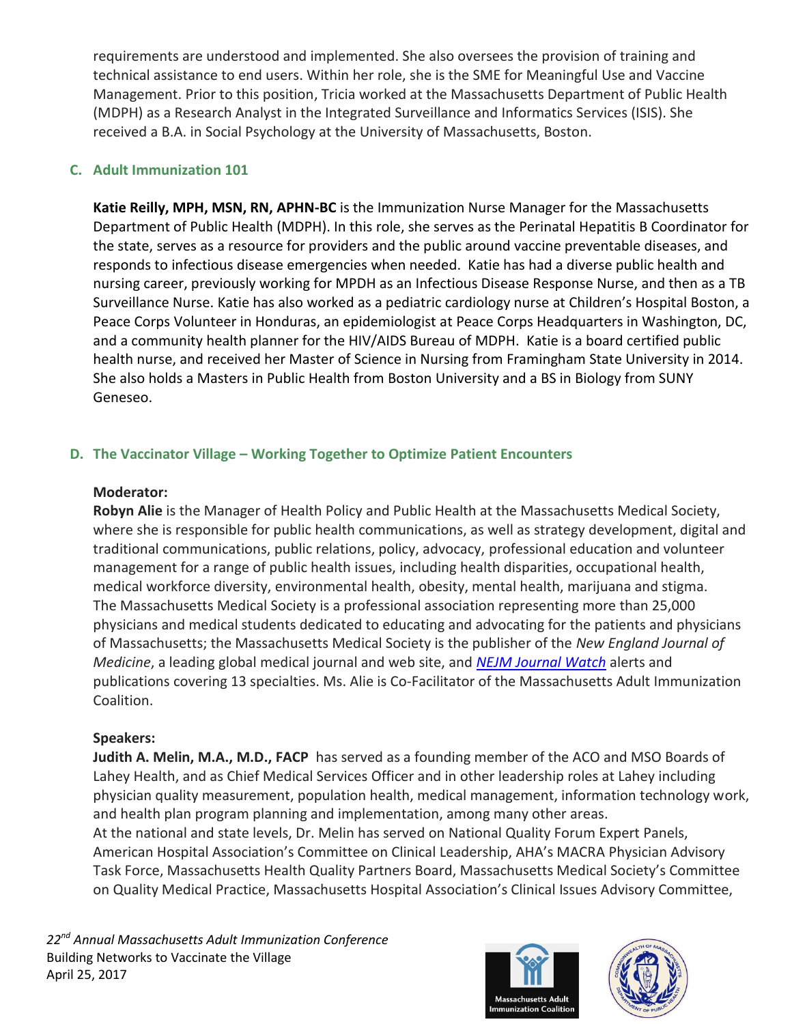requirements are understood and implemented. She also oversees the provision of training and technical assistance to end users. Within her role, she is the SME for Meaningful Use and Vaccine Management. Prior to this position, Tricia worked at the Massachusetts Department of Public Health (MDPH) as a Research Analyst in the Integrated Surveillance and Informatics Services (ISIS). She received a B.A. in Social Psychology at the University of Massachusetts, Boston.

# **C. Adult Immunization 101**

**Katie Reilly, MPH, MSN, RN, APHN-BC** is the Immunization Nurse Manager for the Massachusetts Department of Public Health (MDPH). In this role, she serves as the Perinatal Hepatitis B Coordinator for the state, serves as a resource for providers and the public around vaccine preventable diseases, and responds to infectious disease emergencies when needed. Katie has had a diverse public health and nursing career, previously working for MPDH as an Infectious Disease Response Nurse, and then as a TB Surveillance Nurse. Katie has also worked as a pediatric cardiology nurse at Children's Hospital Boston, a Peace Corps Volunteer in Honduras, an epidemiologist at Peace Corps Headquarters in Washington, DC, and a community health planner for the HIV/AIDS Bureau of MDPH. Katie is a board certified public health nurse, and received her Master of Science in Nursing from Framingham State University in 2014. She also holds a Masters in Public Health from Boston University and a BS in Biology from SUNY Geneseo.

# **D. The Vaccinator Village – Working Together to Optimize Patient Encounters**

#### **Moderator:**

**Robyn Alie** is the Manager of Health Policy and Public Health at the Massachusetts Medical Society, where she is responsible for public health communications, as well as strategy development, digital and traditional communications, public relations, policy, advocacy, professional education and volunteer management for a range of public health issues, including health disparities, occupational health, medical workforce diversity, environmental health, obesity, mental health, marijuana and stigma. The Massachusetts Medical Society is a professional association representing more than 25,000 physicians and medical students dedicated to educating and advocating for the patients and physicians of Massachusetts; the Massachusetts Medical Society is the publisher of the *New England Journal of Medicine*, a leading global medical journal and web site, and *[NEJM Journal Watch](http://www.jwatch.org/)* alerts and publications covering 13 specialties. Ms. Alie is Co-Facilitator of the Massachusetts Adult Immunization Coalition.

## **Speakers:**

**Judith A. Melin, M.A., M.D., FACP** has served as a founding member of the ACO and MSO Boards of Lahey Health, and as Chief Medical Services Officer and in other leadership roles at Lahey including physician quality measurement, population health, medical management, information technology work, and health plan program planning and implementation, among many other areas. At the national and state levels, Dr. Melin has served on National Quality Forum Expert Panels, American Hospital Association's Committee on Clinical Leadership, AHA's MACRA Physician Advisory

Task Force, Massachusetts Health Quality Partners Board, Massachusetts Medical Society's Committee on Quality Medical Practice, Massachusetts Hospital Association's Clinical Issues Advisory Committee,



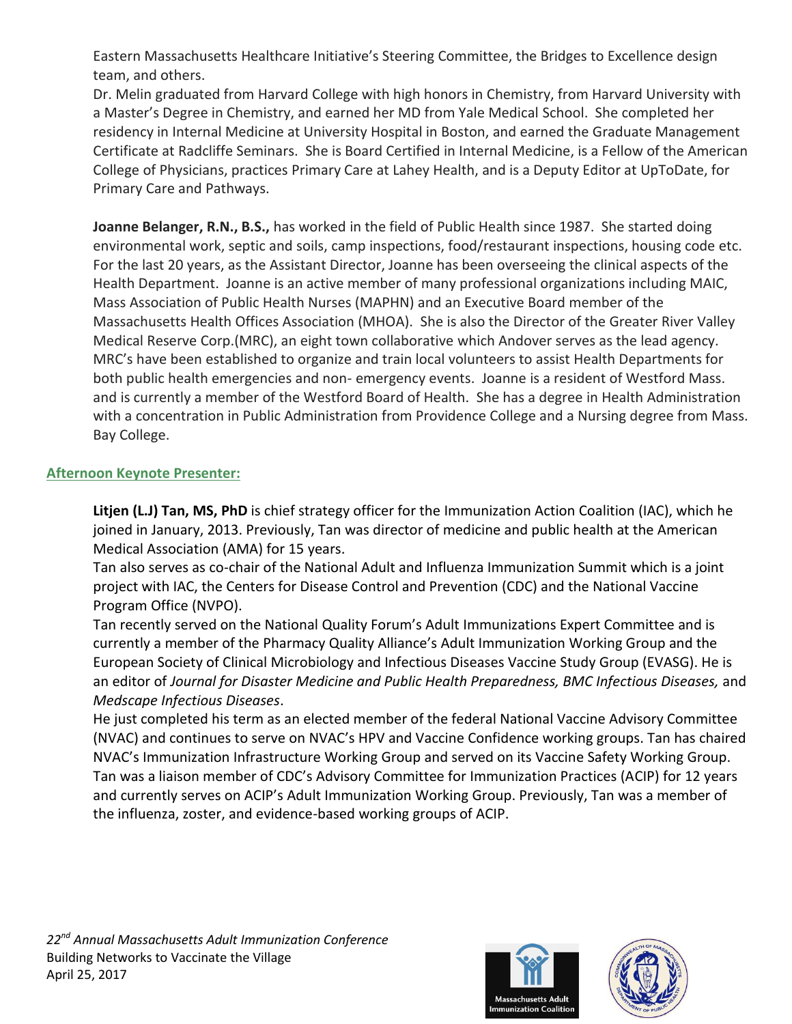Eastern Massachusetts Healthcare Initiative's Steering Committee, the Bridges to Excellence design team, and others.

Dr. Melin graduated from Harvard College with high honors in Chemistry, from Harvard University with a Master's Degree in Chemistry, and earned her MD from Yale Medical School. She completed her residency in Internal Medicine at University Hospital in Boston, and earned the Graduate Management Certificate at Radcliffe Seminars. She is Board Certified in Internal Medicine, is a Fellow of the American College of Physicians, practices Primary Care at Lahey Health, and is a Deputy Editor at UpToDate, for Primary Care and Pathways.

**Joanne Belanger, R.N., B.S.,** has worked in the field of Public Health since 1987. She started doing environmental work, septic and soils, camp inspections, food/restaurant inspections, housing code etc. For the last 20 years, as the Assistant Director, Joanne has been overseeing the clinical aspects of the Health Department. Joanne is an active member of many professional organizations including MAIC, Mass Association of Public Health Nurses (MAPHN) and an Executive Board member of the Massachusetts Health Offices Association (MHOA). She is also the Director of the Greater River Valley Medical Reserve Corp.(MRC), an eight town collaborative which Andover serves as the lead agency. MRC's have been established to organize and train local volunteers to assist Health Departments for both public health emergencies and non- emergency events. Joanne is a resident of Westford Mass. and is currently a member of the Westford Board of Health. She has a degree in Health Administration with a concentration in Public Administration from Providence College and a Nursing degree from Mass. Bay College.

## **Afternoon Keynote Presenter:**

**Litjen (L.J) Tan, MS, PhD** is chief strategy officer for the Immunization Action Coalition (IAC), which he joined in January, 2013. Previously, Tan was director of medicine and public health at the American Medical Association (AMA) for 15 years.

Tan also serves as co-chair of the National Adult and Influenza Immunization Summit which is a joint project with IAC, the Centers for Disease Control and Prevention (CDC) and the National Vaccine Program Office (NVPO).

Tan recently served on the National Quality Forum's Adult Immunizations Expert Committee and is currently a member of the Pharmacy Quality Alliance's Adult Immunization Working Group and the European Society of Clinical Microbiology and Infectious Diseases Vaccine Study Group (EVASG). He is an editor of *Journal for Disaster Medicine and Public Health Preparedness, BMC Infectious Diseases,* and *Medscape Infectious Diseases*.

He just completed his term as an elected member of the federal National Vaccine Advisory Committee (NVAC) and continues to serve on NVAC's HPV and Vaccine Confidence working groups. Tan has chaired NVAC's Immunization Infrastructure Working Group and served on its Vaccine Safety Working Group. Tan was a liaison member of CDC's Advisory Committee for Immunization Practices (ACIP) for 12 years and currently serves on ACIP's Adult Immunization Working Group. Previously, Tan was a member of the influenza, zoster, and evidence-based working groups of ACIP.



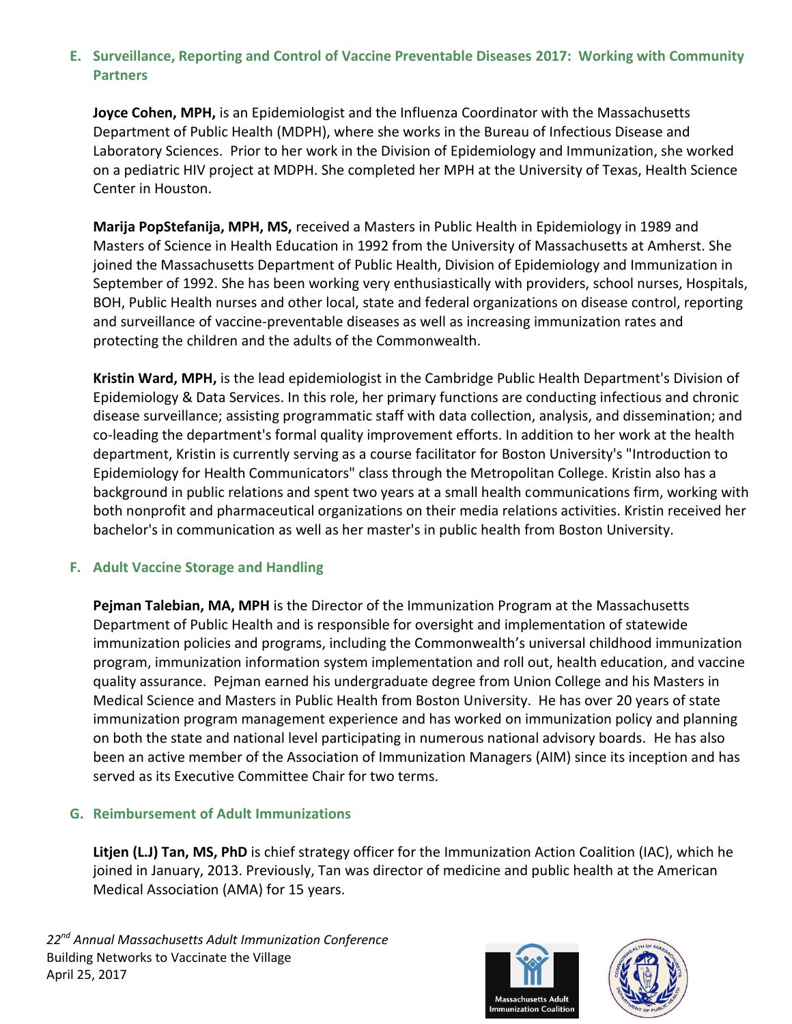# **E. Surveillance, Reporting and Control of Vaccine Preventable Diseases 2017: Working with Community Partners**

**Joyce Cohen, MPH,** is an Epidemiologist and the Influenza Coordinator with the Massachusetts Department of Public Health (MDPH), where she works in the Bureau of Infectious Disease and Laboratory Sciences. Prior to her work in the Division of Epidemiology and Immunization, she worked on a pediatric HIV project at MDPH. She completed her MPH at the University of Texas, Health Science Center in Houston.

**Marija PopStefanija, MPH, MS,** received a Masters in Public Health in Epidemiology in 1989 and Masters of Science in Health Education in 1992 from the University of Massachusetts at Amherst. She joined the Massachusetts Department of Public Health, Division of Epidemiology and Immunization in September of 1992. She has been working very enthusiastically with providers, school nurses, Hospitals, BOH, Public Health nurses and other local, state and federal organizations on disease control, reporting and surveillance of vaccine-preventable diseases as well as increasing immunization rates and protecting the children and the adults of the Commonwealth.

**Kristin Ward, MPH,** is the lead epidemiologist in the Cambridge Public Health Department's Division of Epidemiology & Data Services. In this role, her primary functions are conducting infectious and chronic disease surveillance; assisting programmatic staff with data collection, analysis, and dissemination; and co-leading the department's formal quality improvement efforts. In addition to her work at the health department, Kristin is currently serving as a course facilitator for Boston University's "Introduction to Epidemiology for Health Communicators" class through the Metropolitan College. Kristin also has a background in public relations and spent two years at a small health communications firm, working with both nonprofit and pharmaceutical organizations on their media relations activities. Kristin received her bachelor's in communication as well as her master's in public health from Boston University.

## **F. Adult Vaccine Storage and Handling**

**Pejman Talebian, MA, MPH** is the Director of the Immunization Program at the Massachusetts Department of Public Health and is responsible for oversight and implementation of statewide immunization policies and programs, including the Commonwealth's universal childhood immunization program, immunization information system implementation and roll out, health education, and vaccine quality assurance. Pejman earned his undergraduate degree from Union College and his Masters in Medical Science and Masters in Public Health from Boston University. He has over 20 years of state immunization program management experience and has worked on immunization policy and planning on both the state and national level participating in numerous national advisory boards. He has also been an active member of the Association of Immunization Managers (AIM) since its inception and has served as its Executive Committee Chair for two terms.

## **G. Reimbursement of Adult Immunizations**

**Litjen (L.J) Tan, MS, PhD** is chief strategy officer for the Immunization Action Coalition (IAC), which he joined in January, 2013. Previously, Tan was director of medicine and public health at the American Medical Association (AMA) for 15 years.



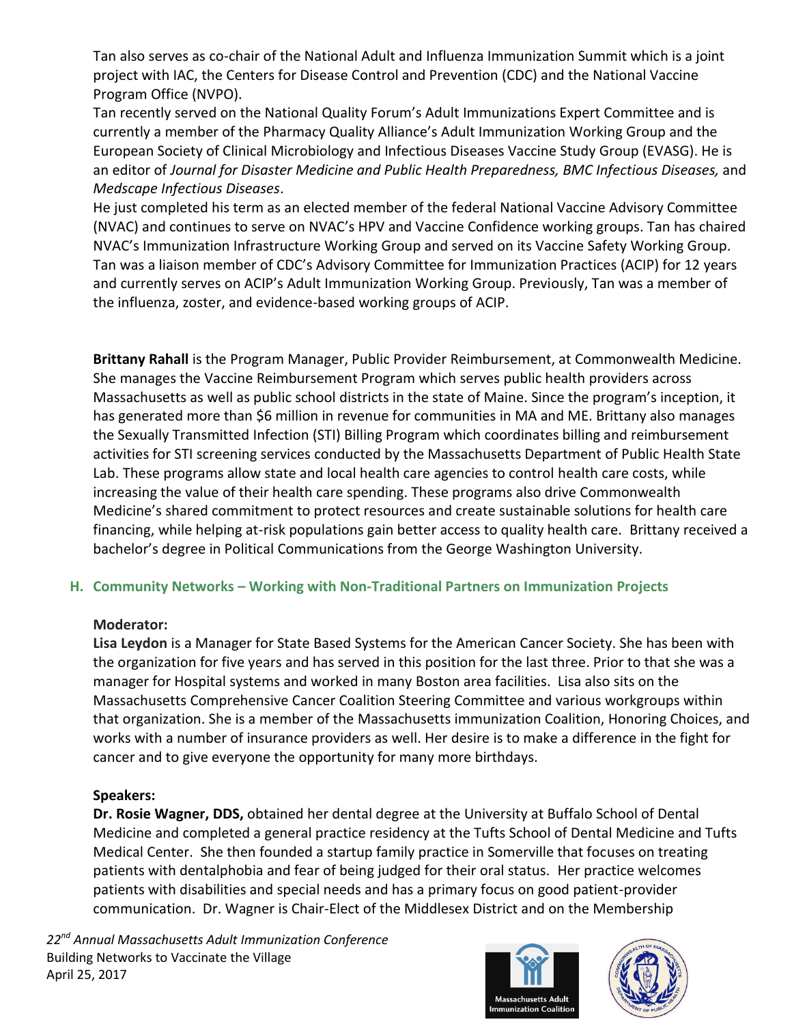Tan also serves as co-chair of the National Adult and Influenza Immunization Summit which is a joint project with IAC, the Centers for Disease Control and Prevention (CDC) and the National Vaccine Program Office (NVPO).

Tan recently served on the National Quality Forum's Adult Immunizations Expert Committee and is currently a member of the Pharmacy Quality Alliance's Adult Immunization Working Group and the European Society of Clinical Microbiology and Infectious Diseases Vaccine Study Group (EVASG). He is an editor of *Journal for Disaster Medicine and Public Health Preparedness, BMC Infectious Diseases,* and *Medscape Infectious Diseases*.

He just completed his term as an elected member of the federal National Vaccine Advisory Committee (NVAC) and continues to serve on NVAC's HPV and Vaccine Confidence working groups. Tan has chaired NVAC's Immunization Infrastructure Working Group and served on its Vaccine Safety Working Group. Tan was a liaison member of CDC's Advisory Committee for Immunization Practices (ACIP) for 12 years and currently serves on ACIP's Adult Immunization Working Group. Previously, Tan was a member of the influenza, zoster, and evidence-based working groups of ACIP.

**Brittany Rahall** is the Program Manager, Public Provider Reimbursement, at Commonwealth Medicine. She manages the Vaccine Reimbursement Program which serves public health providers across Massachusetts as well as public school districts in the state of Maine. Since the program's inception, it has generated more than \$6 million in revenue for communities in MA and ME. Brittany also manages the Sexually Transmitted Infection (STI) Billing Program which coordinates billing and reimbursement activities for STI screening services conducted by the Massachusetts Department of Public Health State Lab. These programs allow state and local health care agencies to control health care costs, while increasing the value of their health care spending. These programs also drive Commonwealth Medicine's shared commitment to protect resources and create sustainable solutions for health care financing, while helping at-risk populations gain better access to quality health care. Brittany received a bachelor's degree in Political Communications from the George Washington University.

## **H. Community Networks – Working with Non-Traditional Partners on Immunization Projects**

#### **Moderator:**

**Lisa Leydon** is a Manager for State Based Systems for the American Cancer Society. She has been with the organization for five years and has served in this position for the last three. Prior to that she was a manager for Hospital systems and worked in many Boston area facilities. Lisa also sits on the Massachusetts Comprehensive Cancer Coalition Steering Committee and various workgroups within that organization. She is a member of the Massachusetts immunization Coalition, Honoring Choices, and works with a number of insurance providers as well. Her desire is to make a difference in the fight for cancer and to give everyone the opportunity for many more birthdays.

## **Speakers:**

**Dr. Rosie Wagner, DDS,** obtained her dental degree at the University at Buffalo School of Dental Medicine and completed a general practice residency at the Tufts School of Dental Medicine and Tufts Medical Center. She then founded a startup family practice in Somerville that focuses on treating patients with dentalphobia and fear of being judged for their oral status. Her practice welcomes patients with disabilities and special needs and has a primary focus on good patient-provider communication. Dr. Wagner is Chair-Elect of the Middlesex District and on the Membership

*22nd Annual Massachusetts Adult Immunization Conference* Building Networks to Vaccinate the Village April 25, 2017